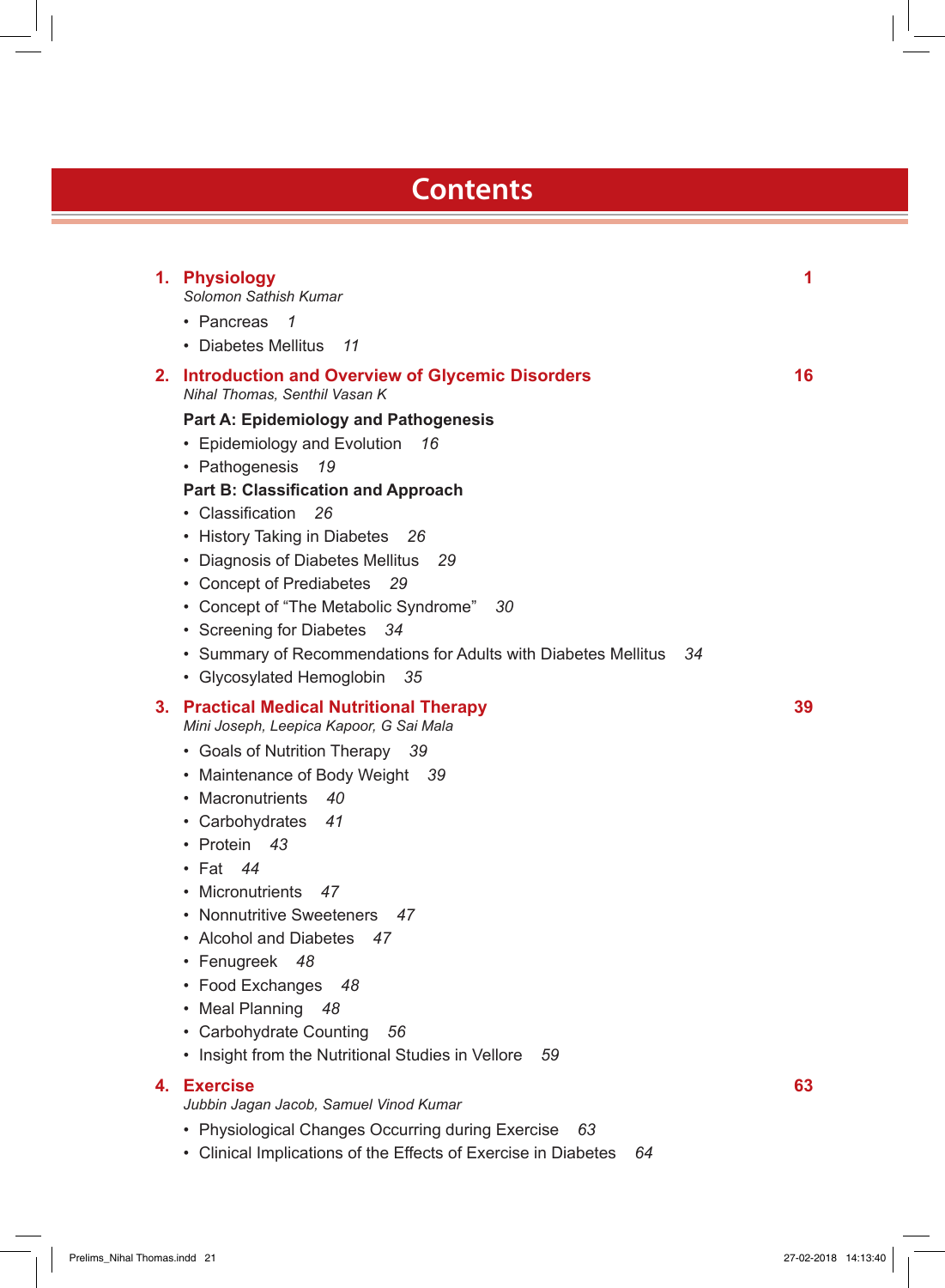## **Contents**

|    | 1. Physiology<br>Solomon Sathish Kumar                                                                                                                                                                                                                                                                                                                                                                                                                                                                                                                                               | 1  |
|----|--------------------------------------------------------------------------------------------------------------------------------------------------------------------------------------------------------------------------------------------------------------------------------------------------------------------------------------------------------------------------------------------------------------------------------------------------------------------------------------------------------------------------------------------------------------------------------------|----|
|    | • Pancreas<br>1<br>• Diabetes Mellitus<br>11                                                                                                                                                                                                                                                                                                                                                                                                                                                                                                                                         |    |
| 2. | <b>Introduction and Overview of Glycemic Disorders</b><br>Nihal Thomas, Senthil Vasan K<br>Part A: Epidemiology and Pathogenesis<br>• Epidemiology and Evolution<br>16<br>• Pathogenesis<br>19<br><b>Part B: Classification and Approach</b><br>• Classification<br>26<br>• History Taking in Diabetes<br>26<br>• Diagnosis of Diabetes Mellitus<br>29<br>• Concept of Prediabetes<br>29<br>• Concept of "The Metabolic Syndrome"<br>30<br>• Screening for Diabetes<br>34<br>• Summary of Recommendations for Adults with Diabetes Mellitus<br>34<br>• Glycosylated Hemoglobin<br>35 | 16 |
| 3. | <b>Practical Medical Nutritional Therapy</b><br>Mini Joseph, Leepica Kapoor, G Sai Mala<br>• Goals of Nutrition Therapy<br>-39<br>• Maintenance of Body Weight 39<br>• Macronutrients<br>40<br>• Carbohydrates<br>41<br>• Protein<br>43<br>$\cdot$ Fat 44<br>• Micronutrients<br>47<br>• Nonnutritive Sweeteners<br>47<br>• Alcohol and Diabetes<br>47<br>• Fenugreek<br>48<br>• Food Exchanges<br>48<br>• Meal Planning<br>48<br>• Carbohydrate Counting<br>56<br>• Insight from the Nutritional Studies in Vellore<br>59                                                           | 39 |
| 4. | <b>Exercise</b><br>Jubbin Jagan Jacob, Samuel Vinod Kumar                                                                                                                                                                                                                                                                                                                                                                                                                                                                                                                            | 63 |
|    | • Physiological Changes Occurring during Exercise<br>63<br>• Clinical Implications of the Effects of Exercise in Diabetes<br>64                                                                                                                                                                                                                                                                                                                                                                                                                                                      |    |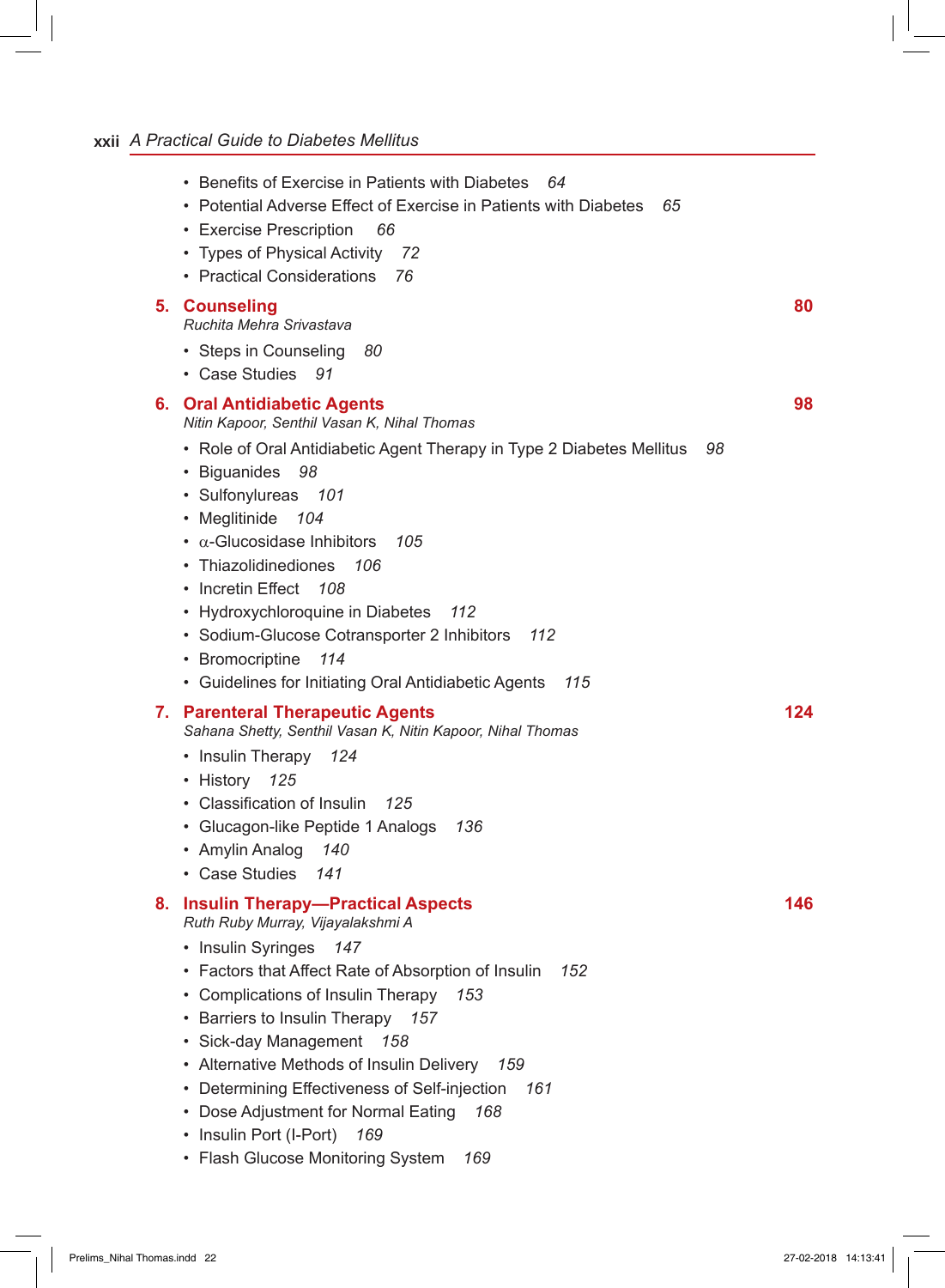## **xxii** *A Practical Guide to Diabetes Mellitus*

|    | • Benefits of Exercise in Patients with Diabetes<br>- 64<br>• Potential Adverse Effect of Exercise in Patients with Diabetes<br>65<br>• Exercise Prescription<br>66<br>• Types of Physical Activity<br>72<br>• Practical Considerations<br>76                                                                                                                                                                                                                                                                                                                 |     |
|----|---------------------------------------------------------------------------------------------------------------------------------------------------------------------------------------------------------------------------------------------------------------------------------------------------------------------------------------------------------------------------------------------------------------------------------------------------------------------------------------------------------------------------------------------------------------|-----|
| 5. | <b>Counseling</b><br>Ruchita Mehra Srivastava<br>• Steps in Counseling<br>80<br>• Case Studies<br>- 91                                                                                                                                                                                                                                                                                                                                                                                                                                                        | 80  |
|    | 6. Oral Antidiabetic Agents<br>Nitin Kapoor, Senthil Vasan K, Nihal Thomas<br>• Role of Oral Antidiabetic Agent Therapy in Type 2 Diabetes Mellitus<br>98<br>• Biguanides<br>98<br>• Sulfonylureas<br>101<br>• Meglitinide<br>104<br>$\cdot$ $\alpha$ -Glucosidase Inhibitors<br>105<br>• Thiazolidinediones<br>106<br>• Incretin Effect<br>108<br>• Hydroxychloroquine in Diabetes<br>112<br>• Sodium-Glucose Cotransporter 2 Inhibitors<br>112<br>• Bromocriptine<br>114<br>• Guidelines for Initiating Oral Antidiabetic Agents<br>115                     | 98  |
|    | 7. Parenteral Therapeutic Agents<br>Sahana Shetty, Senthil Vasan K, Nitin Kapoor, Nihal Thomas<br>• Insulin Therapy<br>124<br>· History 125<br>• Classification of Insulin<br>125<br>• Glucagon-like Peptide 1 Analogs<br>136<br>• Amylin Analog<br>140<br>• Case Studies<br>141                                                                                                                                                                                                                                                                              | 124 |
| 8. | <b>Insulin Therapy-Practical Aspects</b><br>Ruth Ruby Murray, Vijayalakshmi A<br>Insulin Syringes 147<br>• Factors that Affect Rate of Absorption of Insulin<br>152<br>Complications of Insulin Therapy<br>153<br>$\bullet$<br>Barriers to Insulin Therapy<br>157<br>٠<br>Sick-day Management<br>158<br>٠<br>Alternative Methods of Insulin Delivery<br>159<br>٠<br>Determining Effectiveness of Self-injection<br>161<br>٠<br>Dose Adjustment for Normal Eating<br>168<br>٠<br>Insulin Port (I-Port)<br>169<br>٠<br>• Flash Glucose Monitoring System<br>169 | 146 |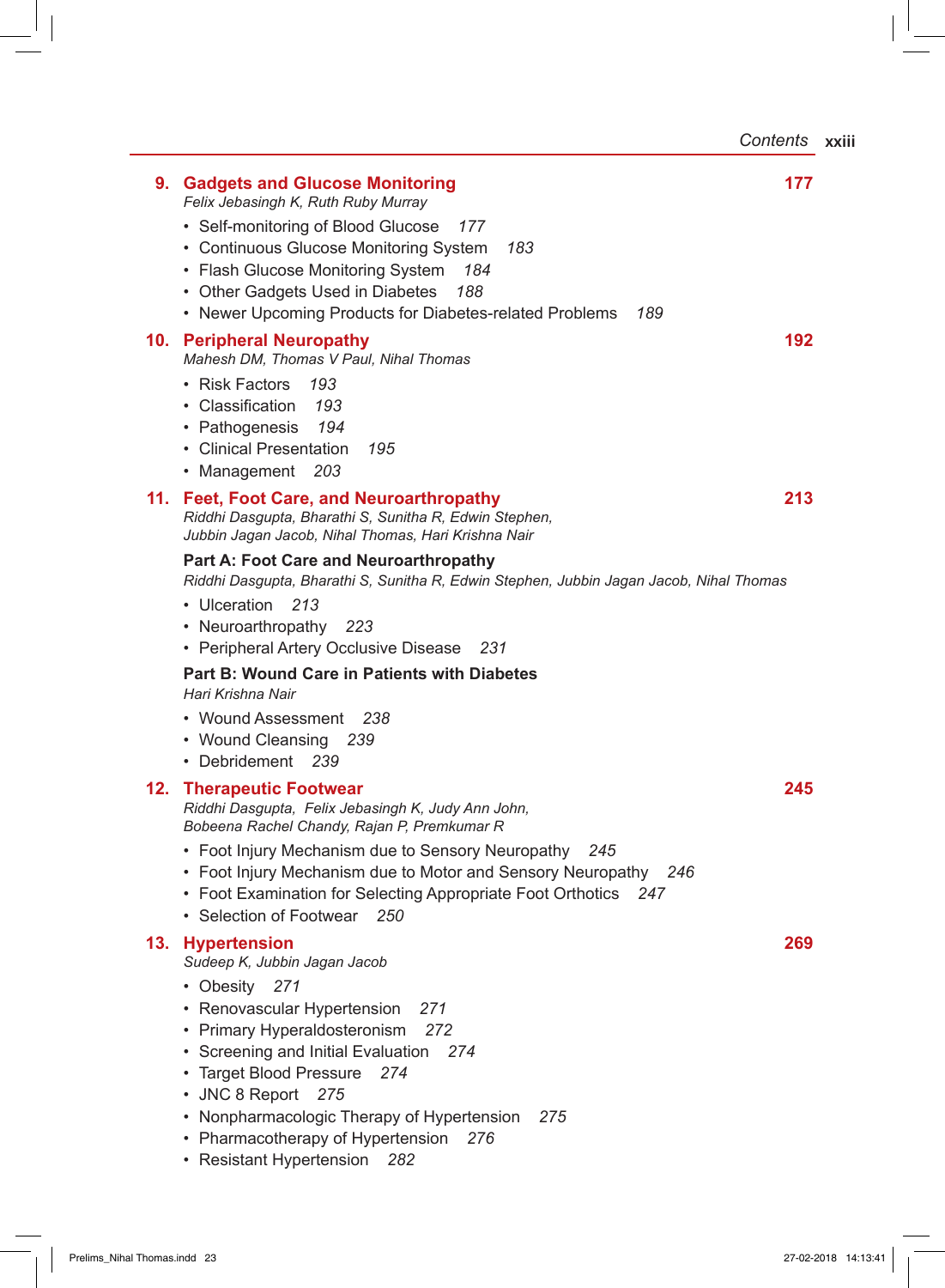*Contents* **xxiii**

|     | 9. Gadgets and Glucose Monitoring<br>Felix Jebasingh K, Ruth Ruby Murray                                                                                                                                                                                                                                                               | 177 |
|-----|----------------------------------------------------------------------------------------------------------------------------------------------------------------------------------------------------------------------------------------------------------------------------------------------------------------------------------------|-----|
|     | • Self-monitoring of Blood Glucose<br>177<br>• Continuous Glucose Monitoring System<br>183<br>• Flash Glucose Monitoring System<br>184<br>• Other Gadgets Used in Diabetes<br>188<br>• Newer Upcoming Products for Diabetes-related Problems<br>189                                                                                    |     |
|     | 10. Peripheral Neuropathy<br>Mahesh DM, Thomas V Paul, Nihal Thomas<br>• Risk Factors<br>193<br>• Classification<br>- 193<br>• Pathogenesis<br>194<br>• Clinical Presentation<br>- 195<br>• Management<br>- 203                                                                                                                        | 192 |
|     | 11. Feet, Foot Care, and Neuroarthropathy<br>Riddhi Dasgupta, Bharathi S, Sunitha R, Edwin Stephen,<br>Jubbin Jagan Jacob, Nihal Thomas, Hari Krishna Nair                                                                                                                                                                             | 213 |
|     | <b>Part A: Foot Care and Neuroarthropathy</b><br>Riddhi Dasgupta, Bharathi S, Sunitha R, Edwin Stephen, Jubbin Jagan Jacob, Nihal Thomas<br>• Ulceration<br>213<br>• Neuroarthropathy 223<br>• Peripheral Artery Occlusive Disease<br>- 231                                                                                            |     |
|     | Part B: Wound Care in Patients with Diabetes<br>Hari Krishna Nair<br>• Wound Assessment 238                                                                                                                                                                                                                                            |     |
|     | • Wound Cleansing 239<br>• Debridement 239                                                                                                                                                                                                                                                                                             |     |
| 12. | <b>Therapeutic Footwear</b><br>Riddhi Dasgupta, Felix Jebasingh K, Judy Ann John,<br>Bobeena Rachel Chandy, Rajan P, Premkumar R                                                                                                                                                                                                       | 245 |
|     | • Foot Injury Mechanism due to Sensory Neuropathy<br>245<br>• Foot Injury Mechanism due to Motor and Sensory Neuropathy<br>246<br>• Foot Examination for Selecting Appropriate Foot Orthotics<br>247<br>• Selection of Footwear<br>-250                                                                                                |     |
| 13. | <b>Hypertension</b><br>Sudeep K, Jubbin Jagan Jacob                                                                                                                                                                                                                                                                                    | 269 |
|     | • Obesity<br>271<br>• Renovascular Hypertension<br>271<br>• Primary Hyperaldosteronism<br>272<br>• Screening and Initial Evaluation<br>274<br>• Target Blood Pressure<br>274<br>• JNC 8 Report 275<br>• Nonpharmacologic Therapy of Hypertension<br>275<br>• Pharmacotherapy of Hypertension<br>276<br>• Resistant Hypertension<br>282 |     |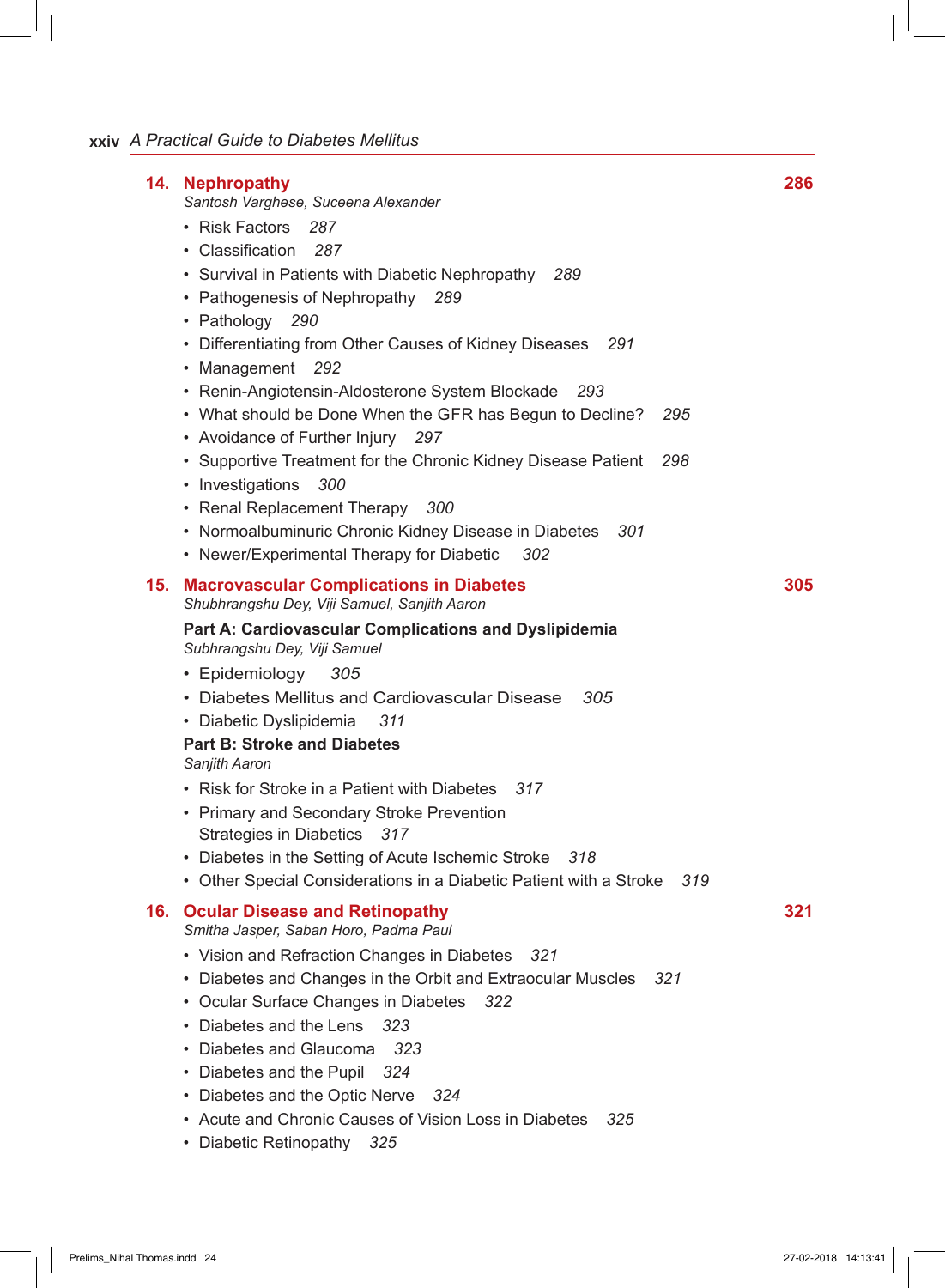| 14. Nephropathy<br>Santosh Varghese, Suceena Alexander<br>• Risk Factors<br>287<br>• Classification 287<br>• Survival in Patients with Diabetic Nephropathy<br>289<br>• Pathogenesis of Nephropathy<br>289<br>• Pathology<br>290<br>• Differentiating from Other Causes of Kidney Diseases<br>291<br>• Management 292<br>• Renin-Angiotensin-Aldosterone System Blockade<br>293<br>• What should be Done When the GFR has Begun to Decline?<br>295                                                                                                                                                                                                  | 286 |
|-----------------------------------------------------------------------------------------------------------------------------------------------------------------------------------------------------------------------------------------------------------------------------------------------------------------------------------------------------------------------------------------------------------------------------------------------------------------------------------------------------------------------------------------------------------------------------------------------------------------------------------------------------|-----|
| • Avoidance of Further Injury 297<br>• Supportive Treatment for the Chronic Kidney Disease Patient<br>298<br>• Investigations<br>300<br>• Renal Replacement Therapy<br>300<br>• Normoalbuminuric Chronic Kidney Disease in Diabetes<br>301<br>• Newer/Experimental Therapy for Diabetic<br>302                                                                                                                                                                                                                                                                                                                                                      |     |
| 15. Macrovascular Complications in Diabetes<br>Shubhrangshu Dey, Viji Samuel, Sanjith Aaron<br>Part A: Cardiovascular Complications and Dyslipidemia<br>Subhrangshu Dey, Viji Samuel<br>• Epidemiology<br>305<br>• Diabetes Mellitus and Cardiovascular Disease<br>305<br>· Diabetic Dyslipidemia<br>311<br><b>Part B: Stroke and Diabetes</b><br>Sanjith Aaron<br>• Risk for Stroke in a Patient with Diabetes 317<br>• Primary and Secondary Stroke Prevention<br><b>Strategies in Diabetics</b><br>317<br>• Diabetes in the Setting of Acute Ischemic Stroke<br>318<br>• Other Special Considerations in a Diabetic Patient with a Stroke<br>319 | 305 |
| 16. Ocular Disease and Retinopathy<br>Smitha Jasper, Saban Horo, Padma Paul<br>• Vision and Refraction Changes in Diabetes<br>321<br>• Diabetes and Changes in the Orbit and Extraocular Muscles<br>321<br>• Ocular Surface Changes in Diabetes 322<br>• Diabetes and the Lens<br>323<br>• Diabetes and Glaucoma<br>323<br>• Diabetes and the Pupil<br>324<br>• Diabetes and the Optic Nerve<br>324<br>• Acute and Chronic Causes of Vision Loss in Diabetes<br>325<br>• Diabetic Retinopathy<br>325                                                                                                                                                | 321 |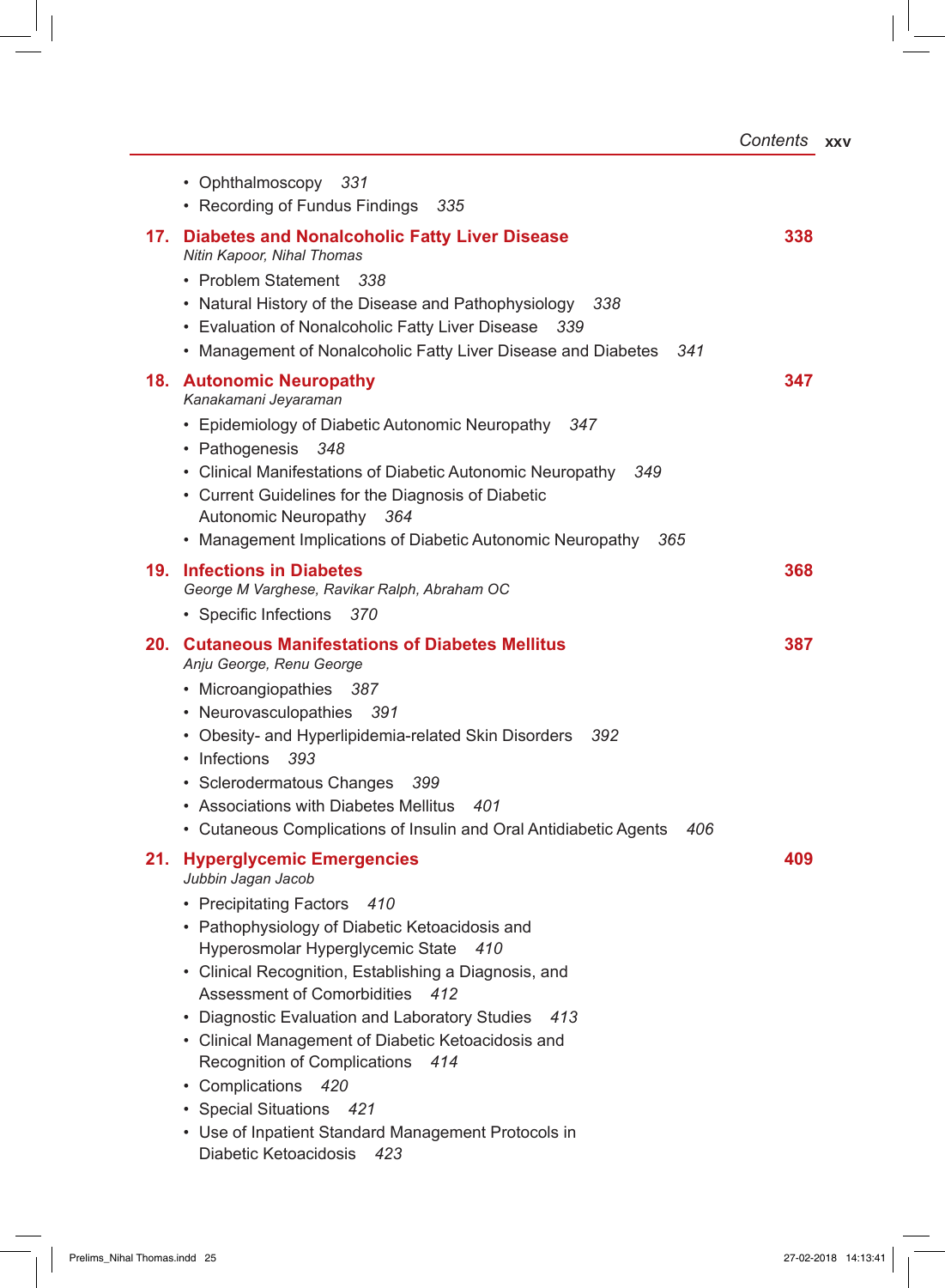|     | • Ophthalmoscopy 331<br>• Recording of Fundus Findings 335                                                                                                                                                                                                                                                                                                                                                                                                                                                                                                                                          |     |
|-----|-----------------------------------------------------------------------------------------------------------------------------------------------------------------------------------------------------------------------------------------------------------------------------------------------------------------------------------------------------------------------------------------------------------------------------------------------------------------------------------------------------------------------------------------------------------------------------------------------------|-----|
| 17. | <b>Diabetes and Nonalcoholic Fatty Liver Disease</b><br>Nitin Kapoor, Nihal Thomas<br>• Problem Statement 338<br>• Natural History of the Disease and Pathophysiology 338<br>• Evaluation of Nonalcoholic Fatty Liver Disease<br>-339<br>• Management of Nonalcoholic Fatty Liver Disease and Diabetes 341                                                                                                                                                                                                                                                                                          | 338 |
|     | <b>18. Autonomic Neuropathy</b><br>Kanakamani Jeyaraman<br>• Epidemiology of Diabetic Autonomic Neuropathy 347<br>• Pathogenesis<br>348<br>• Clinical Manifestations of Diabetic Autonomic Neuropathy 349<br>• Current Guidelines for the Diagnosis of Diabetic<br>Autonomic Neuropathy<br>- 364<br>• Management Implications of Diabetic Autonomic Neuropathy 365                                                                                                                                                                                                                                  | 347 |
| 19. | <b>Infections in Diabetes</b><br>George M Varghese, Ravikar Ralph, Abraham OC<br>• Specific Infections 370                                                                                                                                                                                                                                                                                                                                                                                                                                                                                          | 368 |
| 20. | <b>Cutaneous Manifestations of Diabetes Mellitus</b><br>Anju George, Renu George<br>• Microangiopathies 387<br>• Neurovasculopathies 391<br>• Obesity- and Hyperlipidemia-related Skin Disorders 392<br>• Infections<br>393<br>• Sclerodermatous Changes<br>399<br>• Associations with Diabetes Mellitus<br>401<br>• Cutaneous Complications of Insulin and Oral Antidiabetic Agents<br>406                                                                                                                                                                                                         | 387 |
| 21. | <b>Hyperglycemic Emergencies</b><br>Jubbin Jagan Jacob<br>• Precipitating Factors<br>410<br>• Pathophysiology of Diabetic Ketoacidosis and<br>Hyperosmolar Hyperglycemic State 410<br>• Clinical Recognition, Establishing a Diagnosis, and<br>Assessment of Comorbidities<br>412<br>• Diagnostic Evaluation and Laboratory Studies<br>413<br>• Clinical Management of Diabetic Ketoacidosis and<br>Recognition of Complications<br>414<br>• Complications<br>420<br><b>Special Situations</b><br>- 421<br>٠<br>• Use of Inpatient Standard Management Protocols in<br>Diabetic Ketoacidosis<br>423 | 409 |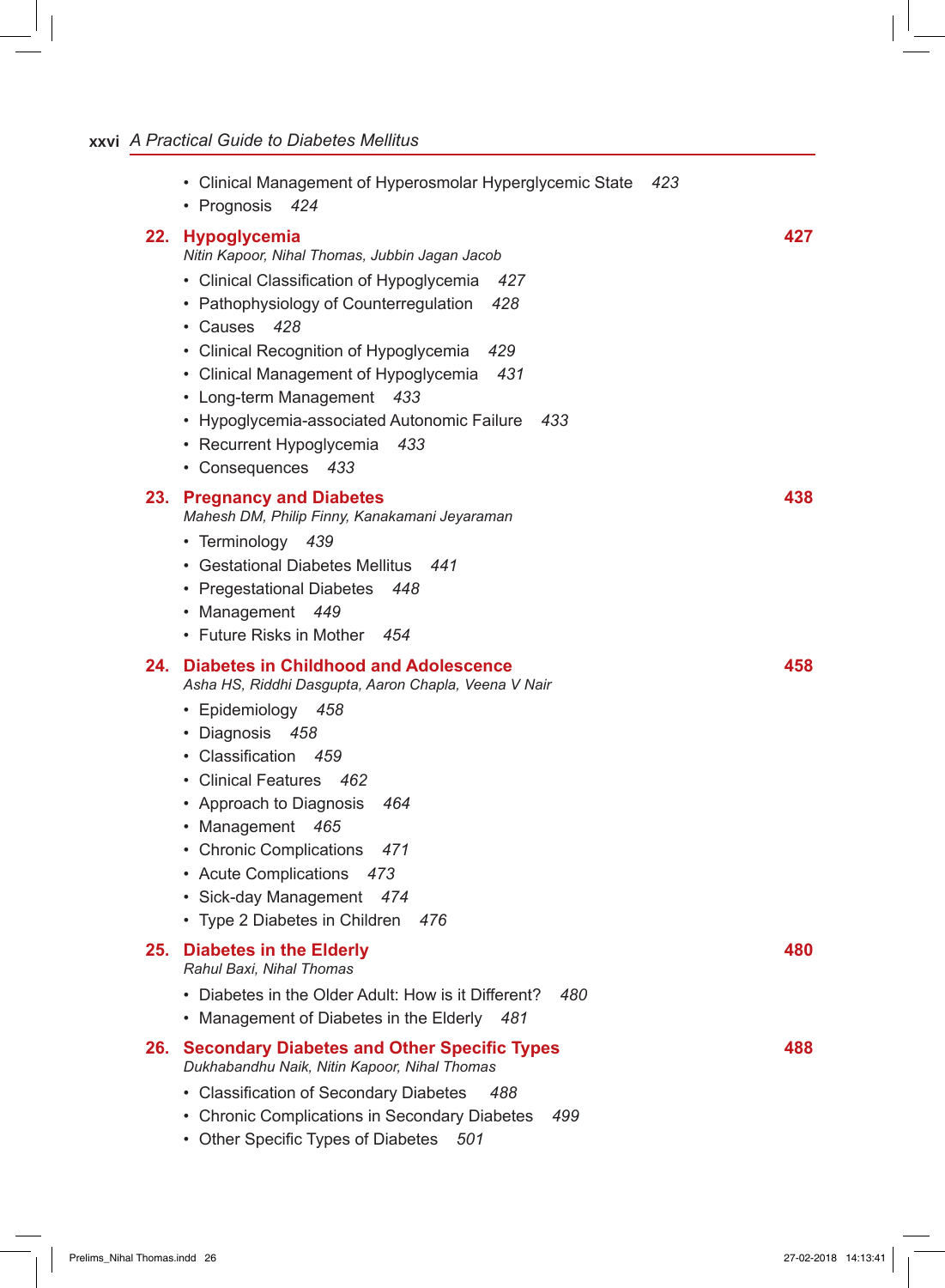## **xxvi** *A Practical Guide to Diabetes Mellitus*

|     | • Clinical Management of Hyperosmolar Hyperglycemic State<br>423<br>• Prognosis<br>424                                                                                                                                                                                                                                                                                                                                                          |     |
|-----|-------------------------------------------------------------------------------------------------------------------------------------------------------------------------------------------------------------------------------------------------------------------------------------------------------------------------------------------------------------------------------------------------------------------------------------------------|-----|
|     | 22. Hypoglycemia<br>Nitin Kapoor, Nihal Thomas, Jubbin Jagan Jacob<br>• Clinical Classification of Hypoglycemia<br>427<br>• Pathophysiology of Counterregulation<br>428<br>• Causes<br>428<br>• Clinical Recognition of Hypoglycemia<br>429<br>• Clinical Management of Hypoglycemia<br>431<br>• Long-term Management<br>- 433<br>• Hypoglycemia-associated Autonomic Failure<br>433<br>• Recurrent Hypoglycemia<br>- 433<br>• Consequences 433 | 427 |
|     | 23. Pregnancy and Diabetes<br>Mahesh DM, Philip Finny, Kanakamani Jeyaraman<br>• Terminology 439<br>• Gestational Diabetes Mellitus<br>441<br>• Pregestational Diabetes<br>448<br>• Management<br>- 449<br>• Future Risks in Mother 454                                                                                                                                                                                                         | 438 |
| 24. | <b>Diabetes in Childhood and Adolescence</b><br>Asha HS, Riddhi Dasgupta, Aaron Chapla, Veena V Nair<br>· Epidemiology 458<br>· Diagnosis 458<br>· Classification 459<br>• Clinical Features 462<br>• Approach to Diagnosis<br>464<br>• Management 465<br>• Chronic Complications<br>471<br>• Acute Complications<br>473<br>• Sick-day Management<br>474<br>• Type 2 Diabetes in Children<br>476                                                | 458 |
| 25. | <b>Diabetes in the Elderly</b><br>Rahul Baxi, Nihal Thomas                                                                                                                                                                                                                                                                                                                                                                                      | 480 |
|     | • Diabetes in the Older Adult: How is it Different?<br>480<br>• Management of Diabetes in the Elderly<br>481                                                                                                                                                                                                                                                                                                                                    |     |
| 26. | <b>Secondary Diabetes and Other Specific Types</b><br>Dukhabandhu Naik, Nitin Kapoor, Nihal Thomas<br>• Classification of Secondary Diabetes<br>488<br>• Chronic Complications in Secondary Diabetes<br>499<br>• Other Specific Types of Diabetes<br>501                                                                                                                                                                                        | 488 |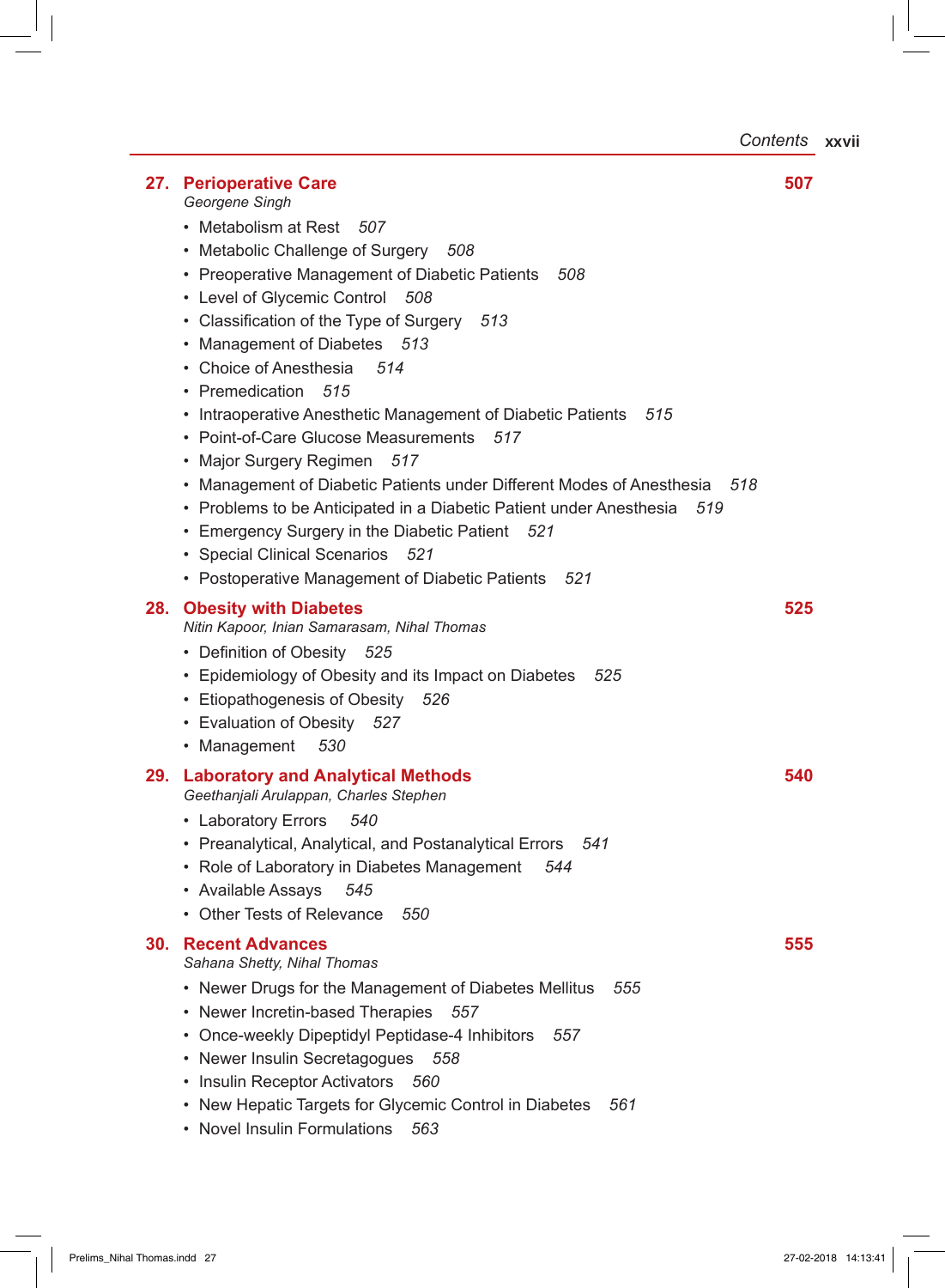*Contents* **xxvii**

| 27. | <b>Perioperative Care</b><br>Georgene Singh                                                                                                                                                                                                                                                                                                                                                                                                                                                                                                                                                                                                                                                                                            | 507 |
|-----|----------------------------------------------------------------------------------------------------------------------------------------------------------------------------------------------------------------------------------------------------------------------------------------------------------------------------------------------------------------------------------------------------------------------------------------------------------------------------------------------------------------------------------------------------------------------------------------------------------------------------------------------------------------------------------------------------------------------------------------|-----|
|     | • Metabolism at Rest<br>507<br>• Metabolic Challenge of Surgery<br>508<br>• Preoperative Management of Diabetic Patients<br>508<br>• Level of Glycemic Control<br>- 508<br>• Classification of the Type of Surgery<br>513<br>• Management of Diabetes<br>513<br>• Choice of Anesthesia<br>514<br>• Premedication<br>515<br>• Intraoperative Anesthetic Management of Diabetic Patients<br>515<br>• Point-of-Care Glucose Measurements<br>517<br>• Major Surgery Regimen 517<br>• Management of Diabetic Patients under Different Modes of Anesthesia<br>518<br>• Problems to be Anticipated in a Diabetic Patient under Anesthesia<br>519<br>• Emergency Surgery in the Diabetic Patient<br>521<br>• Special Clinical Scenarios<br>521 |     |
| 28. | • Postoperative Management of Diabetic Patients<br>521<br><b>Obesity with Diabetes</b>                                                                                                                                                                                                                                                                                                                                                                                                                                                                                                                                                                                                                                                 | 525 |
|     | Nitin Kapoor, Inian Samarasam, Nihal Thomas<br>• Definition of Obesity 525<br>• Epidemiology of Obesity and its Impact on Diabetes 525<br>• Etiopathogenesis of Obesity<br>526<br>• Evaluation of Obesity 527<br>• Management<br>530                                                                                                                                                                                                                                                                                                                                                                                                                                                                                                   |     |
| 29. | <b>Laboratory and Analytical Methods</b><br>Geethanjali Arulappan, Charles Stephen                                                                                                                                                                                                                                                                                                                                                                                                                                                                                                                                                                                                                                                     | 540 |
|     | • Laboratory Errors<br>540<br>• Preanalytical, Analytical, and Postanalytical Errors<br>541<br>• Role of Laboratory in Diabetes Management<br>544<br>• Available Assays<br>545<br>• Other Tests of Relevance<br>550                                                                                                                                                                                                                                                                                                                                                                                                                                                                                                                    |     |
| 30. | <b>Recent Advances</b><br>Sahana Shetty, Nihal Thomas<br>• Newer Drugs for the Management of Diabetes Mellitus<br>555<br>• Newer Incretin-based Therapies<br>557<br>Once-weekly Dipeptidyl Peptidase-4 Inhibitors<br>557<br>Newer Insulin Secretagogues 558<br>• Insulin Receptor Activators<br>560                                                                                                                                                                                                                                                                                                                                                                                                                                    | 555 |
|     | • New Hepatic Targets for Glycemic Control in Diabetes<br>561<br><b>Novel Insulin Formulations</b><br>563                                                                                                                                                                                                                                                                                                                                                                                                                                                                                                                                                                                                                              |     |